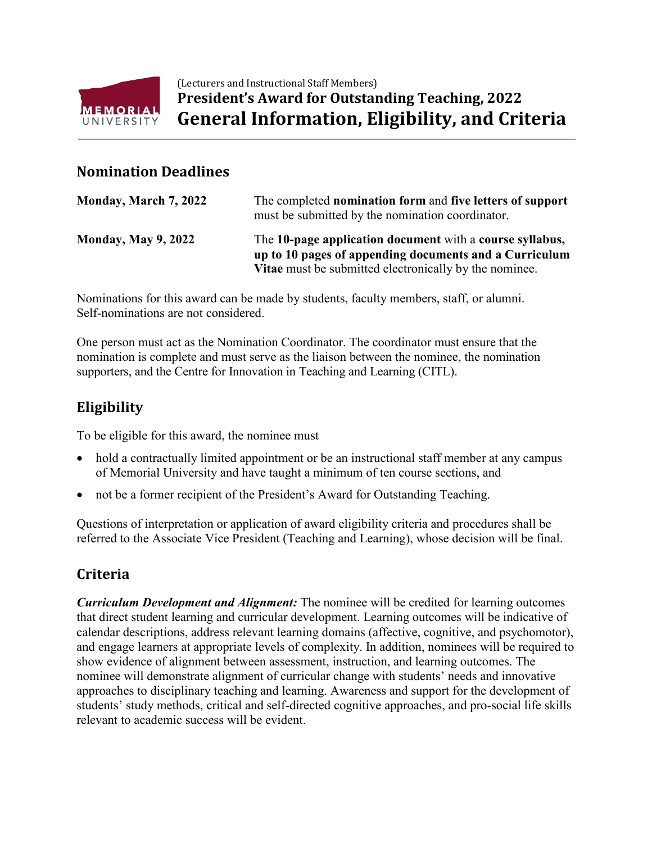

(Lecturers and Instructional Staff Members) **President's Award for Outstanding Teaching, 2022 General Information, Eligibility, and Criteria**

#### **Nomination Deadlines**

| Monday, March 7, 2022      | The completed nomination form and five letters of support<br>must be submitted by the nomination coordinator.                                                                |
|----------------------------|------------------------------------------------------------------------------------------------------------------------------------------------------------------------------|
| <b>Monday, May 9, 2022</b> | The 10-page application document with a course syllabus,<br>up to 10 pages of appending documents and a Curriculum<br>Vitae must be submitted electronically by the nominee. |

Nominations for this award can be made by students, faculty members, staff, or alumni. Self-nominations are not considered.

One person must act as the Nomination Coordinator. The coordinator must ensure that the nomination is complete and must serve as the liaison between the nominee, the nomination supporters, and the Centre for Innovation in Teaching and Learning (CITL).

## **Eligibility**

To be eligible for this award, the nominee must

- hold a contractually limited appointment or be an instructional staff member at any campus of Memorial University and have taught a minimum of ten course sections, and
- not be a former recipient of the President's Award for Outstanding Teaching.

Questions of interpretation or application of award eligibility criteria and procedures shall be referred to the Associate Vice President (Teaching and Learning), whose decision will be final.

## **Criteria**

*Curriculum Development and Alignment:* The nominee will be credited for learning outcomes that direct student learning and curricular development. Learning outcomes will be indicative of calendar descriptions, address relevant learning domains (affective, cognitive, and psychomotor), and engage learners at appropriate levels of complexity. In addition, nominees will be required to show evidence of alignment between assessment, instruction, and learning outcomes. The nominee will demonstrate alignment of curricular change with students' needs and innovative approaches to disciplinary teaching and learning. Awareness and support for the development of students' study methods, critical and self-directed cognitive approaches, and pro-social life skills relevant to academic success will be evident.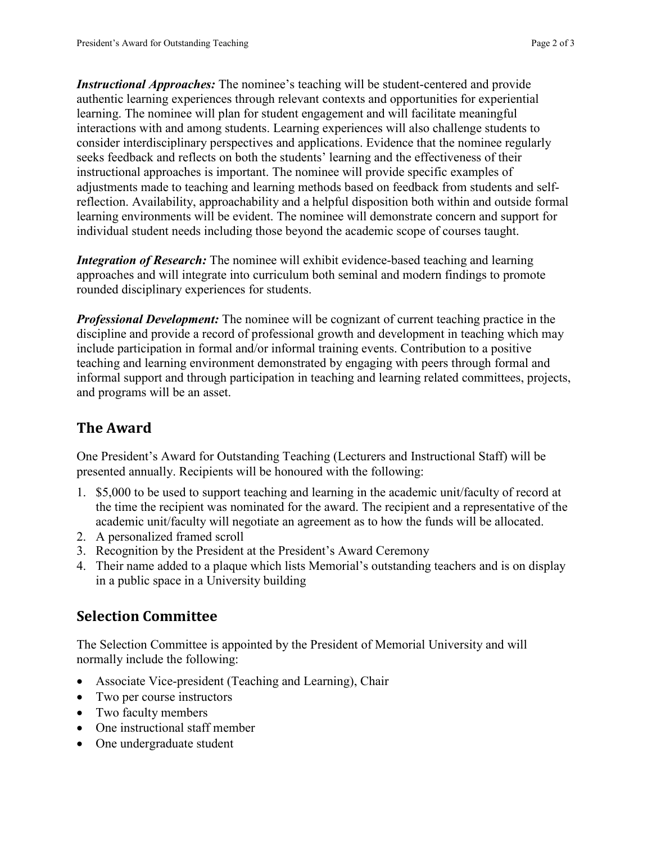*Instructional Approaches:* The nominee's teaching will be student-centered and provide authentic learning experiences through relevant contexts and opportunities for experiential learning. The nominee will plan for student engagement and will facilitate meaningful interactions with and among students. Learning experiences will also challenge students to consider interdisciplinary perspectives and applications. Evidence that the nominee regularly seeks feedback and reflects on both the students' learning and the effectiveness of their instructional approaches is important. The nominee will provide specific examples of adjustments made to teaching and learning methods based on feedback from students and selfreflection. Availability, approachability and a helpful disposition both within and outside formal learning environments will be evident. The nominee will demonstrate concern and support for individual student needs including those beyond the academic scope of courses taught.

*Integration of Research:* The nominee will exhibit evidence-based teaching and learning approaches and will integrate into curriculum both seminal and modern findings to promote rounded disciplinary experiences for students.

*Professional Development:* The nominee will be cognizant of current teaching practice in the discipline and provide a record of professional growth and development in teaching which may include participation in formal and/or informal training events. Contribution to a positive teaching and learning environment demonstrated by engaging with peers through formal and informal support and through participation in teaching and learning related committees, projects, and programs will be an asset.

# **The Award**

One President's Award for Outstanding Teaching (Lecturers and Instructional Staff) will be presented annually. Recipients will be honoured with the following:

- 1. \$5,000 to be used to support teaching and learning in the academic unit/faculty of record at the time the recipient was nominated for the award. The recipient and a representative of the academic unit/faculty will negotiate an agreement as to how the funds will be allocated.
- 2. A personalized framed scroll
- 3. Recognition by the President at the President's Award Ceremony
- 4. Their name added to a plaque which lists Memorial's outstanding teachers and is on display in a public space in a University building

## **Selection Committee**

The Selection Committee is appointed by the President of Memorial University and will normally include the following:

- Associate Vice-president (Teaching and Learning), Chair
- Two per course instructors
- Two faculty members
- One instructional staff member
- One undergraduate student